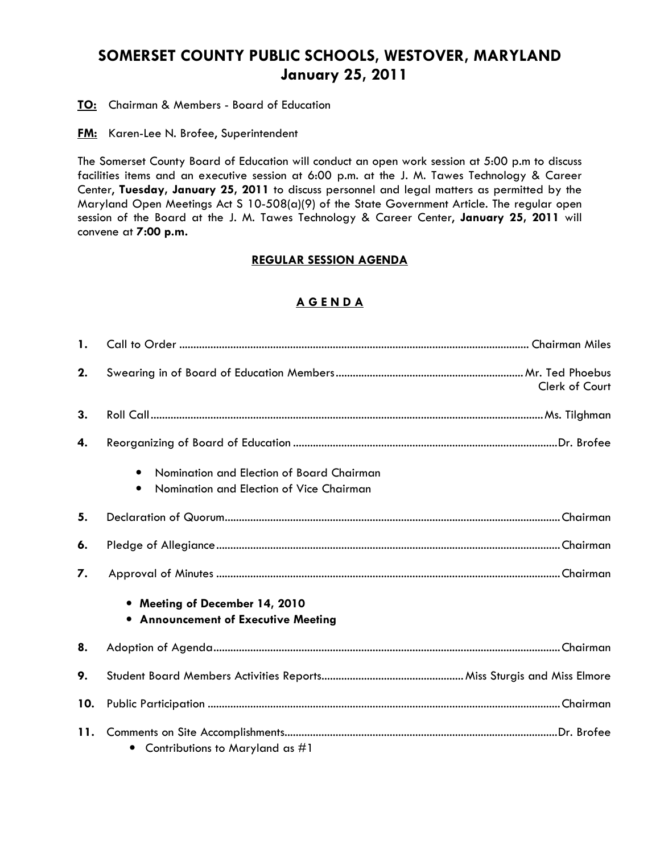## SOMERSET COUNTY PUBLIC SCHOOLS, WESTOVER, MARYLAND January 25, 2011

**TO:** Chairman & Members - Board of Education

**FM:** Karen-Lee N. Brofee, Superintendent

The Somerset County Board of Education will conduct an open work session at 5:00 p.m to discuss facilities items and an executive session at 6:00 p.m. at the J. M. Tawes Technology & Career Center, Tuesday, January 25, 2011 to discuss personnel and legal matters as permitted by the Maryland Open Meetings Act S 10-508(a)(9) of the State Government Article. The regular open session of the Board at the J. M. Tawes Technology & Career Center, January 25, 2011 will convene at 7:00 p.m.

## REGULAR SESSION AGENDA

## A G E N D A

| $\mathbf{1}$ . |                                                                                                                 |
|----------------|-----------------------------------------------------------------------------------------------------------------|
| 2.             | Clerk of Court                                                                                                  |
| 3.             |                                                                                                                 |
| 4.             |                                                                                                                 |
|                | Nomination and Election of Board Chairman<br>$\bullet$<br>Nomination and Election of Vice Chairman<br>$\bullet$ |
| 5.             |                                                                                                                 |
| 6.             |                                                                                                                 |
| 7.             |                                                                                                                 |
|                | • Meeting of December 14, 2010<br>• Announcement of Executive Meeting                                           |
| 8.             |                                                                                                                 |
| 9.             |                                                                                                                 |
| 10.            |                                                                                                                 |
| 11.            | • Contributions to Maryland as $\#1$                                                                            |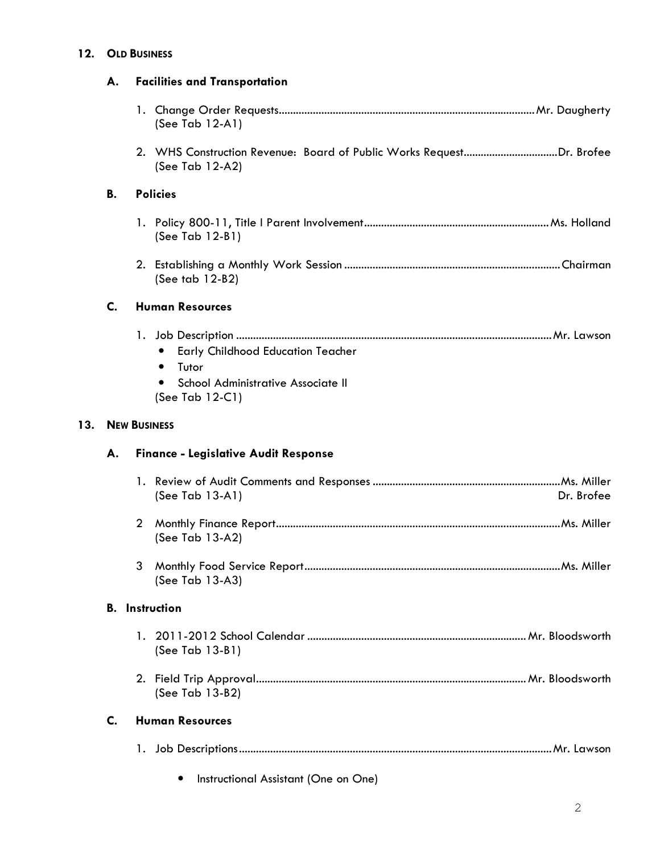## 12. OLD BUSINESS

|     | А.                    | <b>Facilities and Transportation</b>                                                                                                    |            |
|-----|-----------------------|-----------------------------------------------------------------------------------------------------------------------------------------|------------|
|     |                       | (See Tab $12-A1$ )                                                                                                                      |            |
|     |                       | (See Tab 12-A2)                                                                                                                         |            |
|     | <b>B.</b>             | <b>Policies</b>                                                                                                                         |            |
|     |                       | (See Tab 12-B1)                                                                                                                         |            |
|     |                       | (See tab 12-B2)                                                                                                                         |            |
|     | C.                    | <b>Human Resources</b>                                                                                                                  |            |
|     |                       | <b>Early Childhood Education Teacher</b><br>$\bullet$<br>Tutor<br>$\bullet$<br>School Administrative Associate II<br>(See Tab $12-C1$ ) |            |
| 13. |                       | <b>NEW BUSINESS</b>                                                                                                                     |            |
|     | А.                    | <b>Finance - Legislative Audit Response</b>                                                                                             |            |
|     |                       | (See Tab $13-A1$ )                                                                                                                      | Dr. Brofee |
|     |                       | 2<br>(See Tab 13-A2)                                                                                                                    |            |
|     |                       | 3<br>(See Tab 13-A3)                                                                                                                    |            |
|     | <b>B.</b> Instruction |                                                                                                                                         |            |
|     |                       | (See Tab 13-B1)                                                                                                                         |            |
|     |                       | (See Tab 13-B2)                                                                                                                         |            |
|     | C.                    | <b>Human Resources</b>                                                                                                                  |            |
|     |                       |                                                                                                                                         |            |
|     |                       | Instructional Assistant (One on One)<br>$\bullet$                                                                                       |            |